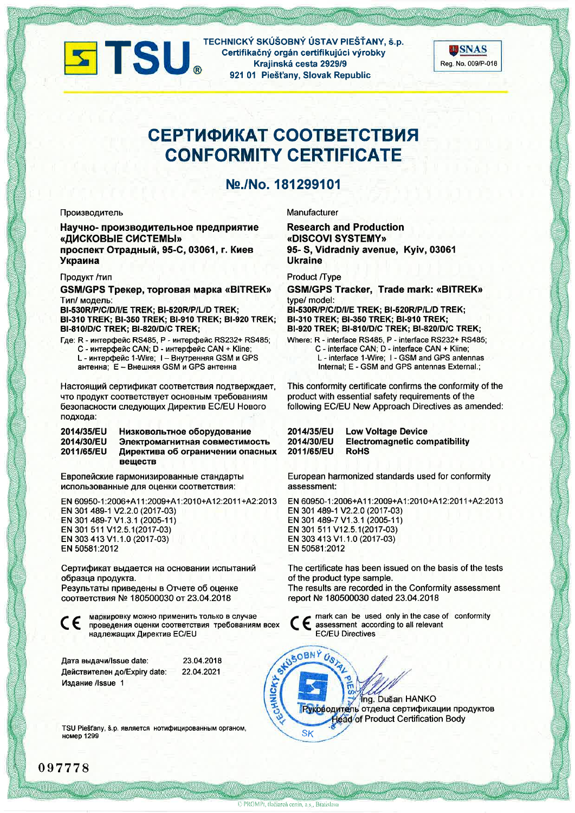

TECHNICKÝ SKÚŠOBNÝ ÚSTAV PIEŠŤANY, š.p. Certifikačný orgán certifikujúci výrobky Krajinská cesta 2929/9 921 01 Piešťany, Slovak Republic



# СЕРТИФИКАТ СООТВЕТСТВИЯ **CONFORMITY CERTIFICATE**

## No./No. 181299101

#### Производитель

Научно-производительное предприятие «ДИСКОВЫЕ СИСТЕМЫ» проспект Отрадный, 95-С, 03061, г. Киев Украина

### Продукт /тип

GSM/GPS Трекер, торговая марка «BITREK» Тип/ модель:

BI-530R/P/C/D/I/E TREK; BI-520R/P/L/D TREK; BI-310 TREK; BI-350 TREK; BI-910 TREK; BI-920 TREK; BI-810/D/C TREK; BI-820/D/C TREK;

Где: R - интерфейс RS485, P - интерфейс RS232+ RS485; С - интерфейс CAN; D - интерфейс CAN + Kline; L - интерфейс 1-Wire: I - Внутренняя GSM и GPS

антенна; E - Внешняя GSM и GPS антенна

Настоящий сертификат соответствия подтверждает, что продукт соответствует основным требованиям безопасности следующих Директив EC/EU Нового подхода:

#### 2014/35/EU Низковольтное оборудование 2014/30/EU Электромагнитная совместимость 2011/65/EU Директива об ограничении опасных вешеств

Европейские гармонизированные стандарты использованные для оценки соответствия:

EN 60950-1:2006+A11:2009+A1:2010+A12:2011+A2:2013 EN 301 489-1 V2.2.0 (2017-03) EN 301 489-7 V1.3.1 (2005-11) EN 301 511 V12.5.1(2017-03) EN 303 413 V1.1.0 (2017-03) EN 50581:2012

Сертификат выдается на основании испытаний образца продукта.

Результаты приведены в Отчете об оценке соответствия № 180500030 от 23.04.2018

CE

маркировку можно применить только в случае проведения оценки соответствия требованиям всех надлежащих Директив EC/EU

| Дата выдачи/Issue date:      | 23.04.2018 |
|------------------------------|------------|
| Действителен до/Expiry date: | 22.04.2021 |
| Издание /Issue 1             |            |

TSU Piešťany, š.p. является нотифицированным органом, **номер 1299** 

Manufacturer

**Research and Production** «DISCOVI SYSTEMY» 95- S, Vidradniy avenue, Kyiv, 03061 **Ukraine** 

**Product /Type** 

**GSM/GPS Tracker, Trade mark: «BITREK»** type/ model:

BI-530R/P/C/D/I/E TREK; BI-520R/P/L/D TREK; BI-310 TREK; BI-350 TREK; BI-910 TREK; BI-920 TREK; BI-810/D/C TREK; BI-820/D/C TREK;

Where: R - interface RS485, P - interface RS232+ RS485; C - interface CAN; D - interface CAN + Kline; L - interface 1-Wire; I - GSM and GPS antennas Internal: E - GSM and GPS antennas External.:

This conformity certificate confirms the conformity of the product with essential safety requirements of the following EC/EU New Approach Directives as amended:

| 2014/35/EU | <b>Low Voltage Device</b>            |
|------------|--------------------------------------|
| 2014/30/EU | <b>Electromagnetic compatibility</b> |
| 2011/65/EU | <b>RoHS</b>                          |

European harmonized standards used for conformity assessment:

EN 60950-1:2006+A11:2009+A1:2010+A12:2011+A2:2013 EN 301 489-1 V2.2.0 (2017-03) EN 301 489-7 V1.3.1 (2005-11) EN 301 511 V12.5.1(2017-03) EN 303 413 V1.1.0 (2017-03) EN 50581:2012

The certificate has been issued on the basis of the tests of the product type sample.

The results are recorded in the Conformity assessment report № 180500030 dated 23.04.2018

mark can be used only in the case of conformity assessment according to all relevant **EC/EU Directives** 

Ing. Dušan HANKO Руководитель отдела сертификации продуктов **Head of Product Certification Body SK** 

097778

ECHNICKY

STUSOBNÝ US